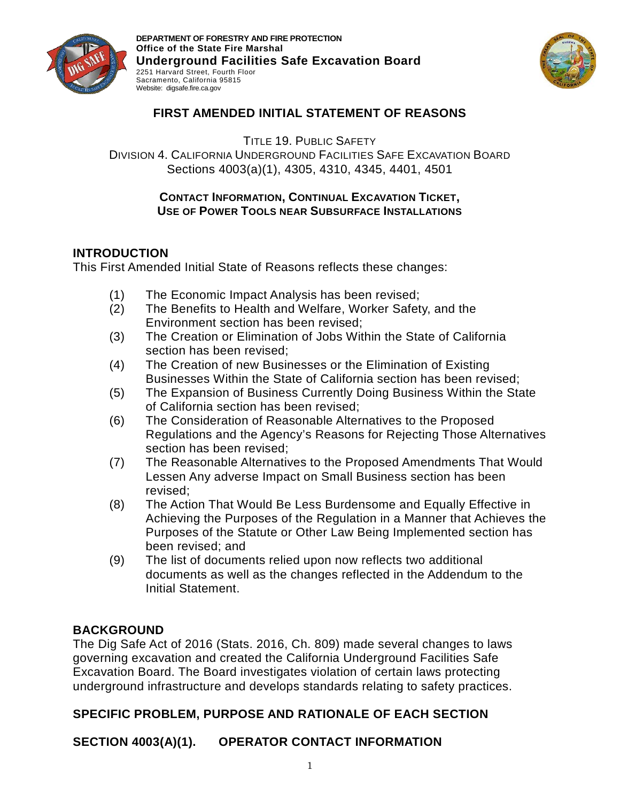



## **FIRST AMENDED INITIAL STATEMENT OF REASONS**

TITLE 19. PUBLIC SAFETY

DIVISION 4. CALIFORNIA UNDERGROUND FACILITIES SAFE EXCAVATION BOARD Sections 4003(a)(1), 4305, 4310, 4345, 4401, 4501

#### **CONTACT INFORMATION, CONTINUAL EXCAVATION TICKET, USE OF POWER TOOLS NEAR SUBSURFACE INSTALLATIONS**

### **INTRODUCTION**

This First Amended Initial State of Reasons reflects these changes:

- (1) The Economic Impact Analysis has been revised;
- (2) The Benefits to Health and Welfare, Worker Safety, and the Environment section has been revised;
- (3) The Creation or Elimination of Jobs Within the State of California section has been revised;
- (4) The Creation of new Businesses or the Elimination of Existing Businesses Within the State of California section has been revised;
- (5) The Expansion of Business Currently Doing Business Within the State of California section has been revised;
- (6) The Consideration of Reasonable Alternatives to the Proposed Regulations and the Agency's Reasons for Rejecting Those Alternatives section has been revised;
- (7) The Reasonable Alternatives to the Proposed Amendments That Would Lessen Any adverse Impact on Small Business section has been revised;
- (8) The Action That Would Be Less Burdensome and Equally Effective in Achieving the Purposes of the Regulation in a Manner that Achieves the Purposes of the Statute or Other Law Being Implemented section has been revised; and
- (9) The list of documents relied upon now reflects two additional documents as well as the changes reflected in the Addendum to the Initial Statement.

## **BACKGROUND**

The Dig Safe Act of 2016 (Stats. 2016, Ch. 809) made several changes to laws governing excavation and created the California Underground Facilities Safe Excavation Board. The Board investigates violation of certain laws protecting underground infrastructure and develops standards relating to safety practices.

## **SPECIFIC PROBLEM, PURPOSE AND RATIONALE OF EACH SECTION**

**SECTION 4003(A)(1). OPERATOR CONTACT INFORMATION**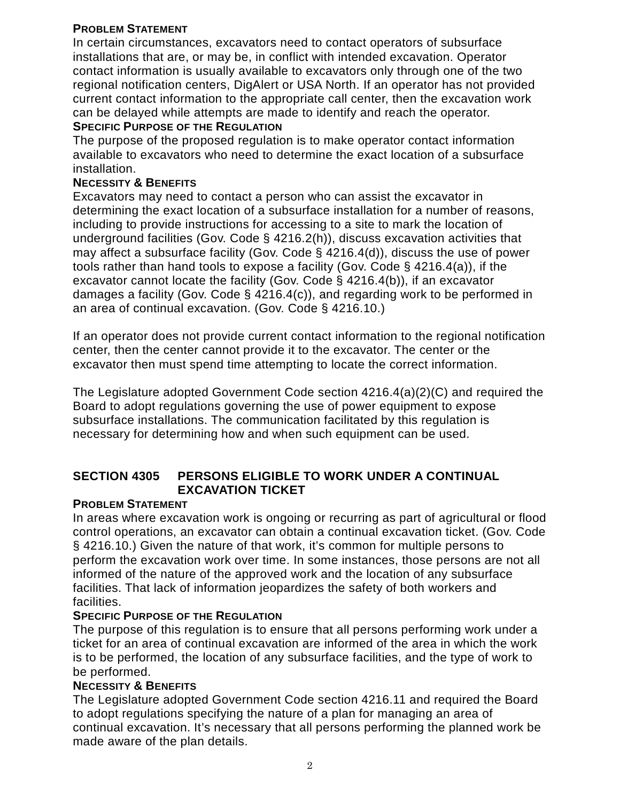### **PROBLEM STATEMENT**

In certain circumstances, excavators need to contact operators of subsurface installations that are, or may be, in conflict with intended excavation. Operator contact information is usually available to excavators only through one of the two regional notification centers, DigAlert or USA North. If an operator has not provided current contact information to the appropriate call center, then the excavation work can be delayed while attempts are made to identify and reach the operator.

#### **SPECIFIC PURPOSE OF THE REGULATION**

The purpose of the proposed regulation is to make operator contact information available to excavators who need to determine the exact location of a subsurface installation.

### **NECESSITY & BENEFITS**

Excavators may need to contact a person who can assist the excavator in determining the exact location of a subsurface installation for a number of reasons, including to provide instructions for accessing to a site to mark the location of underground facilities (Gov. Code § 4216.2(h)), discuss excavation activities that may affect a subsurface facility (Gov. Code § 4216.4(d)), discuss the use of power tools rather than hand tools to expose a facility (Gov. Code § 4216.4(a)), if the excavator cannot locate the facility (Gov. Code § 4216.4(b)), if an excavator damages a facility (Gov. Code § 4216.4(c)), and regarding work to be performed in an area of continual excavation. (Gov. Code § 4216.10.)

If an operator does not provide current contact information to the regional notification center, then the center cannot provide it to the excavator. The center or the excavator then must spend time attempting to locate the correct information.

The Legislature adopted Government Code section 4216.4(a)(2)(C) and required the Board to adopt regulations governing the use of power equipment to expose subsurface installations. The communication facilitated by this regulation is necessary for determining how and when such equipment can be used.

### **SECTION 4305 PERSONS ELIGIBLE TO WORK UNDER A CONTINUAL EXCAVATION TICKET**

### **PROBLEM STATEMENT**

In areas where excavation work is ongoing or recurring as part of agricultural or flood control operations, an excavator can obtain a continual excavation ticket. (Gov. Code § 4216.10.) Given the nature of that work, it's common for multiple persons to perform the excavation work over time. In some instances, those persons are not all informed of the nature of the approved work and the location of any subsurface facilities. That lack of information jeopardizes the safety of both workers and facilities.

#### **SPECIFIC PURPOSE OF THE REGULATION**

The purpose of this regulation is to ensure that all persons performing work under a ticket for an area of continual excavation are informed of the area in which the work is to be performed, the location of any subsurface facilities, and the type of work to be performed.

#### **NECESSITY & BENEFITS**

The Legislature adopted Government Code section 4216.11 and required the Board to adopt regulations specifying the nature of a plan for managing an area of continual excavation. It's necessary that all persons performing the planned work be made aware of the plan details.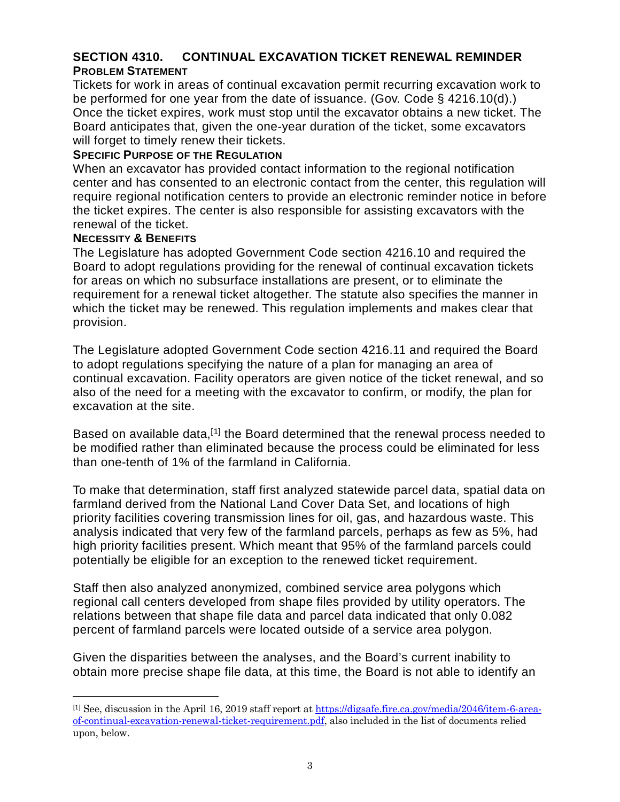## **SECTION 4310. CONTINUAL EXCAVATION TICKET RENEWAL REMINDER PROBLEM STATEMENT**

Tickets for work in areas of continual excavation permit recurring excavation work to be performed for one year from the date of issuance. (Gov. Code § 4216.10(d).) Once the ticket expires, work must stop until the excavator obtains a new ticket. The Board anticipates that, given the one-year duration of the ticket, some excavators will forget to timely renew their tickets.

#### **SPECIFIC PURPOSE OF THE REGULATION**

When an excavator has provided contact information to the regional notification center and has consented to an electronic contact from the center, this regulation will require regional notification centers to provide an electronic reminder notice in before the ticket expires. The center is also responsible for assisting excavators with the renewal of the ticket.

#### **NECESSITY & BENEFITS**

 $\overline{a}$ 

The Legislature has adopted Government Code section 4216.10 and required the Board to adopt regulations providing for the renewal of continual excavation tickets for areas on which no subsurface installations are present, or to eliminate the requirement for a renewal ticket altogether. The statute also specifies the manner in which the ticket may be renewed. This regulation implements and makes clear that provision.

The Legislature adopted Government Code section 4216.11 and required the Board to adopt regulations specifying the nature of a plan for managing an area of continual excavation. Facility operators are given notice of the ticket renewal, and so also of the need for a meeting with the excavator to confirm, or modify, the plan for excavation at the site.

Based on available data,<sup>[[1\]](#page-2-0)</sup> the Board determined that the renewal process needed to be modified rather than eliminated because the process could be eliminated for less than one-tenth of 1% of the farmland in California.

To make that determination, staff first analyzed statewide parcel data, spatial data on farmland derived from the National Land Cover Data Set, and locations of high priority facilities covering transmission lines for oil, gas, and hazardous waste. This analysis indicated that very few of the farmland parcels, perhaps as few as 5%, had high priority facilities present. Which meant that 95% of the farmland parcels could potentially be eligible for an exception to the renewed ticket requirement.

Staff then also analyzed anonymized, combined service area polygons which regional call centers developed from shape files provided by utility operators. The relations between that shape file data and parcel data indicated that only 0.082 percent of farmland parcels were located outside of a service area polygon.

Given the disparities between the analyses, and the Board's current inability to obtain more precise shape file data, at this time, the Board is not able to identify an

<span id="page-2-0"></span><sup>[1]</sup> See, discussion in the April 16, 2019 staff report a[t https://digsafe.fire.ca.gov/media/2046/item-6-area](https://digsafe.fire.ca.gov/media/2046/item-6-area-of-continual-excavation-renewal-ticket-requirement.pdf)[of-continual-excavation-renewal-ticket-requirement.pdf,](https://digsafe.fire.ca.gov/media/2046/item-6-area-of-continual-excavation-renewal-ticket-requirement.pdf) also included in the list of documents relied upon, below.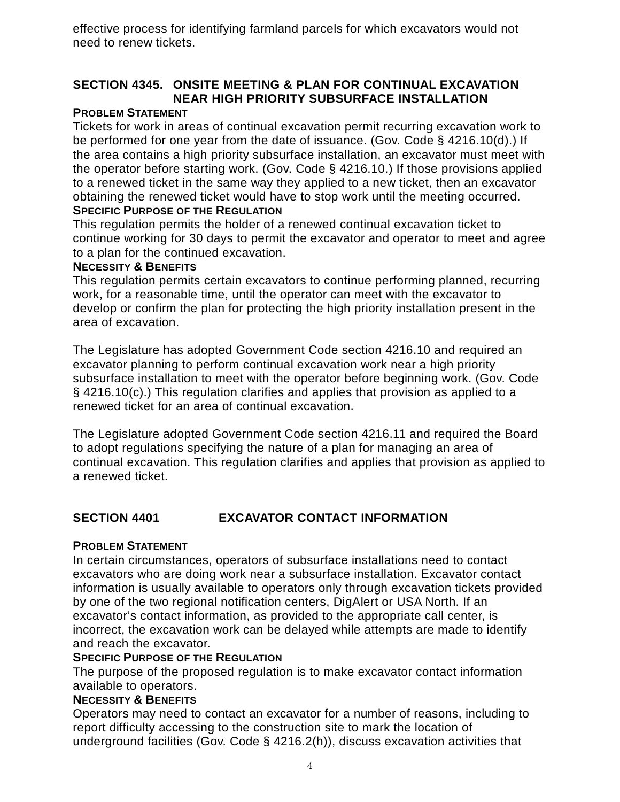effective process for identifying farmland parcels for which excavators would not need to renew tickets.

# **SECTION 4345. ONSITE MEETING & PLAN FOR CONTINUAL EXCAVATION NEAR HIGH PRIORITY SUBSURFACE INSTALLATION**

### **PROBLEM STATEMENT**

Tickets for work in areas of continual excavation permit recurring excavation work to be performed for one year from the date of issuance. (Gov. Code § 4216.10(d).) If the area contains a high priority subsurface installation, an excavator must meet with the operator before starting work. (Gov. Code § 4216.10.) If those provisions applied to a renewed ticket in the same way they applied to a new ticket, then an excavator obtaining the renewed ticket would have to stop work until the meeting occurred. **SPECIFIC PURPOSE OF THE REGULATION**

This regulation permits the holder of a renewed continual excavation ticket to continue working for 30 days to permit the excavator and operator to meet and agree to a plan for the continued excavation.

#### **NECESSITY & BENEFITS**

This regulation permits certain excavators to continue performing planned, recurring work, for a reasonable time, until the operator can meet with the excavator to develop or confirm the plan for protecting the high priority installation present in the area of excavation.

The Legislature has adopted Government Code section 4216.10 and required an excavator planning to perform continual excavation work near a high priority subsurface installation to meet with the operator before beginning work. (Gov. Code § 4216.10(c).) This regulation clarifies and applies that provision as applied to a renewed ticket for an area of continual excavation.

The Legislature adopted Government Code section 4216.11 and required the Board to adopt regulations specifying the nature of a plan for managing an area of continual excavation. This regulation clarifies and applies that provision as applied to a renewed ticket.

### **SECTION 4401 EXCAVATOR CONTACT INFORMATION**

#### **PROBLEM STATEMENT**

In certain circumstances, operators of subsurface installations need to contact excavators who are doing work near a subsurface installation. Excavator contact information is usually available to operators only through excavation tickets provided by one of the two regional notification centers, DigAlert or USA North. If an excavator's contact information, as provided to the appropriate call center, is incorrect, the excavation work can be delayed while attempts are made to identify and reach the excavator.

#### **SPECIFIC PURPOSE OF THE REGULATION**

The purpose of the proposed regulation is to make excavator contact information available to operators.

#### **NECESSITY & BENEFITS**

Operators may need to contact an excavator for a number of reasons, including to report difficulty accessing to the construction site to mark the location of underground facilities (Gov. Code § 4216.2(h)), discuss excavation activities that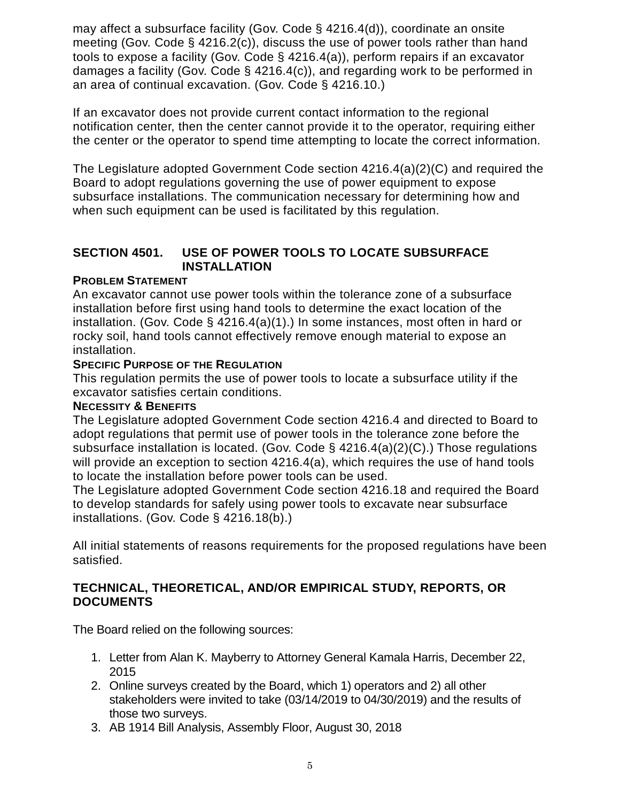may affect a subsurface facility (Gov. Code § 4216.4(d)), coordinate an onsite meeting (Gov. Code § 4216.2(c)), discuss the use of power tools rather than hand tools to expose a facility (Gov. Code § 4216.4(a)), perform repairs if an excavator damages a facility (Gov. Code § 4216.4(c)), and regarding work to be performed in an area of continual excavation. (Gov. Code § 4216.10.)

If an excavator does not provide current contact information to the regional notification center, then the center cannot provide it to the operator, requiring either the center or the operator to spend time attempting to locate the correct information.

The Legislature adopted Government Code section 4216.4(a)(2)(C) and required the Board to adopt regulations governing the use of power equipment to expose subsurface installations. The communication necessary for determining how and when such equipment can be used is facilitated by this regulation.

## **SECTION 4501. USE OF POWER TOOLS TO LOCATE SUBSURFACE INSTALLATION**

### **PROBLEM STATEMENT**

An excavator cannot use power tools within the tolerance zone of a subsurface installation before first using hand tools to determine the exact location of the installation. (Gov. Code § 4216.4(a)(1).) In some instances, most often in hard or rocky soil, hand tools cannot effectively remove enough material to expose an installation.

### **SPECIFIC PURPOSE OF THE REGULATION**

This regulation permits the use of power tools to locate a subsurface utility if the excavator satisfies certain conditions.

#### **NECESSITY & BENEFITS**

The Legislature adopted Government Code section 4216.4 and directed to Board to adopt regulations that permit use of power tools in the tolerance zone before the subsurface installation is located. (Gov. Code § 4216.4(a)(2)(C).) Those regulations will provide an exception to section 4216.4(a), which requires the use of hand tools to locate the installation before power tools can be used.

The Legislature adopted Government Code section 4216.18 and required the Board to develop standards for safely using power tools to excavate near subsurface installations. (Gov. Code § 4216.18(b).)

All initial statements of reasons requirements for the proposed regulations have been satisfied.

### **TECHNICAL, THEORETICAL, AND/OR EMPIRICAL STUDY, REPORTS, OR DOCUMENTS**

The Board relied on the following sources:

- 1. Letter from Alan K. Mayberry to Attorney General Kamala Harris, December 22, 2015
- 2. Online surveys created by the Board, which 1) operators and 2) all other stakeholders were invited to take (03/14/2019 to 04/30/2019) and the results of those two surveys.
- 3. AB 1914 Bill Analysis, Assembly Floor, August 30, 2018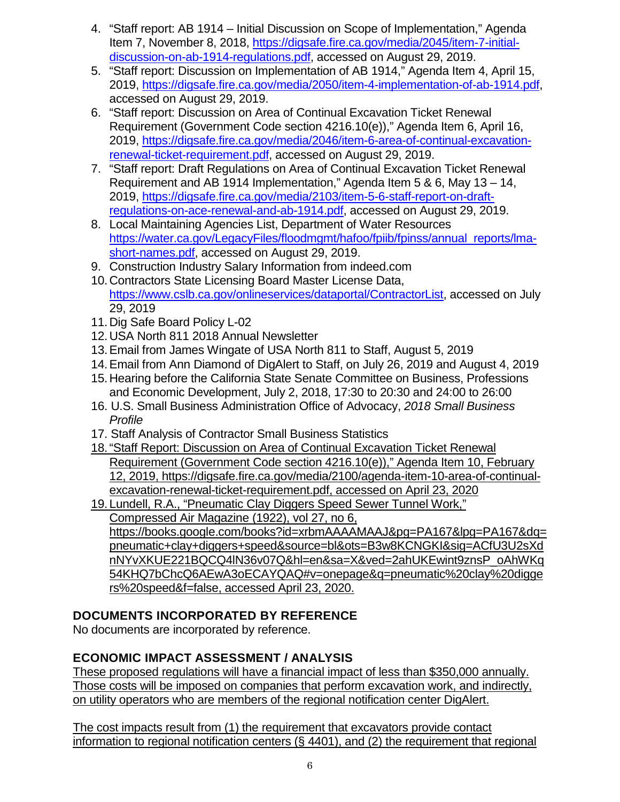- 4. "Staff report: AB 1914 Initial Discussion on Scope of Implementation," Agenda Item 7, November 8, 2018, [https://digsafe.fire.ca.gov/media/2045/item-7-initial](https://digsafe.fire.ca.gov/media/2045/item-7-initial-discussion-on-ab-1914-regulations.pdf)[discussion-on-ab-1914-regulations.pdf,](https://digsafe.fire.ca.gov/media/2045/item-7-initial-discussion-on-ab-1914-regulations.pdf) accessed on August 29, 2019.
- 5. "Staff report: Discussion on Implementation of AB 1914," Agenda Item 4, April 15, 2019, [https://digsafe.fire.ca.gov/media/2050/item-4-implementation-of-ab-1914.pdf,](https://digsafe.fire.ca.gov/media/2050/item-4-implementation-of-ab-1914.pdf) accessed on August 29, 2019.
- 6. "Staff report: Discussion on Area of Continual Excavation Ticket Renewal Requirement (Government Code section 4216.10(e))," Agenda Item 6, April 16, 2019, [https://digsafe.fire.ca.gov/media/2046/item-6-area-of-continual-excavation](https://digsafe.fire.ca.gov/media/2046/item-6-area-of-continual-excavation-renewal-ticket-requirement.pdf)[renewal-ticket-requirement.pdf,](https://digsafe.fire.ca.gov/media/2046/item-6-area-of-continual-excavation-renewal-ticket-requirement.pdf) accessed on August 29, 2019.
- 7. "Staff report: Draft Regulations on Area of Continual Excavation Ticket Renewal Requirement and AB 1914 Implementation," Agenda Item 5 & 6, May 13 – 14, 2019, [https://digsafe.fire.ca.gov/media/2103/item-5-6-staff-report-on-draft](https://digsafe.fire.ca.gov/media/2103/item-5-6-staff-report-on-draft-regulations-on-ace-renewal-and-ab-1914.pdf)[regulations-on-ace-renewal-and-ab-1914.pdf,](https://digsafe.fire.ca.gov/media/2103/item-5-6-staff-report-on-draft-regulations-on-ace-renewal-and-ab-1914.pdf) accessed on August 29, 2019.
- 8. Local Maintaining Agencies List, Department of Water Resources [https://water.ca.gov/LegacyFiles/floodmgmt/hafoo/fpiib/fpinss/annual\\_reports/lma](https://water.ca.gov/LegacyFiles/floodmgmt/hafoo/fpiib/fpinss/annual_reports/lma-short-names.pdf)[short-names.pdf,](https://water.ca.gov/LegacyFiles/floodmgmt/hafoo/fpiib/fpinss/annual_reports/lma-short-names.pdf) accessed on August 29, 2019.
- 9. Construction Industry Salary Information from indeed.com
- 10.Contractors State Licensing Board Master License Data, [https://www.cslb.ca.gov/onlineservices/dataportal/ContractorList,](https://www.cslb.ca.gov/onlineservices/dataportal/ContractorList) accessed on July 29, 2019
- 11.Dig Safe Board Policy L-02
- 12.USA North 811 2018 Annual Newsletter
- 13.Email from James Wingate of USA North 811 to Staff, August 5, 2019
- 14.Email from Ann Diamond of DigAlert to Staff, on July 26, 2019 and August 4, 2019
- 15.Hearing before the California State Senate Committee on Business, Professions and Economic Development, July 2, 2018, 17:30 to 20:30 and 24:00 to 26:00
- 16. U.S. Small Business Administration Office of Advocacy, *2018 Small Business Profile*
- 17. Staff Analysis of Contractor Small Business Statistics
- 18."Staff Report: Discussion on Area of Continual Excavation Ticket Renewal Requirement (Government Code section 4216.10(e))," Agenda Item 10, February 12, 2019, https://digsafe.fire.ca.gov/media/2100/agenda-item-10-area-of-continualexcavation-renewal-ticket-requirement.pdf, accessed on April 23, 2020
- 19.Lundell, R.A., "Pneumatic Clay Diggers Speed Sewer Tunnel Work," Compressed Air Magazine (1922), vol 27, no 6, https://books.google.com/books?id=xrbmAAAAMAAJ&pg=PA167&lpg=PA167&dq= pneumatic+clay+diggers+speed&source=bl&ots=B3w8KCNGKI&sig=ACfU3U2sXd nNYvXKUE221BQCQ4lN36v07Q&hl=en&sa=X&ved=2ahUKEwint9znsP\_oAhWKq 54KHQ7bChcQ6AEwA3oECAYQAQ#v=onepage&q=pneumatic%20clay%20digge rs%20speed&f=false, accessed April 23, 2020.

# **DOCUMENTS INCORPORATED BY REFERENCE**

No documents are incorporated by reference.

# **ECONOMIC IMPACT ASSESSMENT / ANALYSIS**

These proposed regulations will have a financial impact of less than \$350,000 annually. Those costs will be imposed on companies that perform excavation work, and indirectly, on utility operators who are members of the regional notification center DigAlert.

The cost impacts result from (1) the requirement that excavators provide contact information to regional notification centers (§ 4401), and (2) the requirement that regional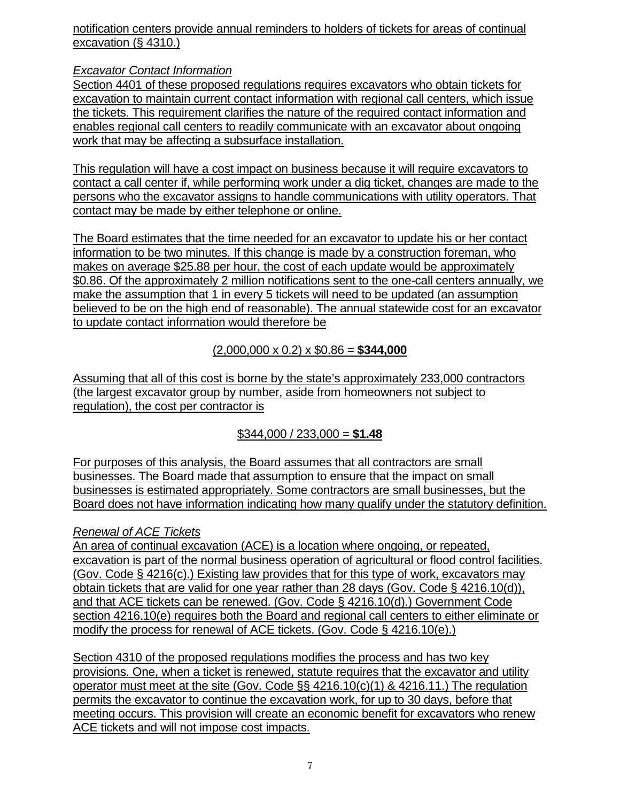notification centers provide annual reminders to holders of tickets for areas of continual excavation (§ 4310.)

*Excavator Contact Information*

Section 4401 of these proposed regulations requires excavators who obtain tickets for excavation to maintain current contact information with regional call centers, which issue the tickets. This requirement clarifies the nature of the required contact information and enables regional call centers to readily communicate with an excavator about ongoing work that may be affecting a subsurface installation.

This regulation will have a cost impact on business because it will require excavators to contact a call center if, while performing work under a dig ticket, changes are made to the persons who the excavator assigns to handle communications with utility operators. That contact may be made by either telephone or online.

The Board estimates that the time needed for an excavator to update his or her contact information to be two minutes. If this change is made by a construction foreman, who makes on average \$25.88 per hour, the cost of each update would be approximately \$0.86. Of the approximately 2 million notifications sent to the one-call centers annually, we make the assumption that 1 in every 5 tickets will need to be updated (an assumption believed to be on the high end of reasonable). The annual statewide cost for an excavator to update contact information would therefore be

(2,000,000 x 0.2) x \$0.86 = **\$344,000**

Assuming that all of this cost is borne by the state's approximately 233,000 contractors (the largest excavator group by number, aside from homeowners not subject to regulation), the cost per contractor is

\$344,000 / 233,000 = **\$1.48**

For purposes of this analysis, the Board assumes that all contractors are small businesses. The Board made that assumption to ensure that the impact on small businesses is estimated appropriately. Some contractors are small businesses, but the Board does not have information indicating how many qualify under the statutory definition.

## *Renewal of ACE Tickets*

An area of continual excavation (ACE) is a location where ongoing, or repeated, excavation is part of the normal business operation of agricultural or flood control facilities. (Gov. Code § 4216(c).) Existing law provides that for this type of work, excavators may obtain tickets that are valid for one year rather than 28 days (Gov. Code § 4216.10(d)), and that ACE tickets can be renewed. (Gov. Code § 4216.10(d).) Government Code section 4216.10(e) requires both the Board and regional call centers to either eliminate or modify the process for renewal of ACE tickets. (Gov. Code § 4216.10(e).)

Section 4310 of the proposed regulations modifies the process and has two key provisions. One, when a ticket is renewed, statute requires that the excavator and utility operator must meet at the site (Gov. Code §§ 4216.10(c)(1) & 4216.11.) The regulation permits the excavator to continue the excavation work, for up to 30 days, before that meeting occurs. This provision will create an economic benefit for excavators who renew ACE tickets and will not impose cost impacts.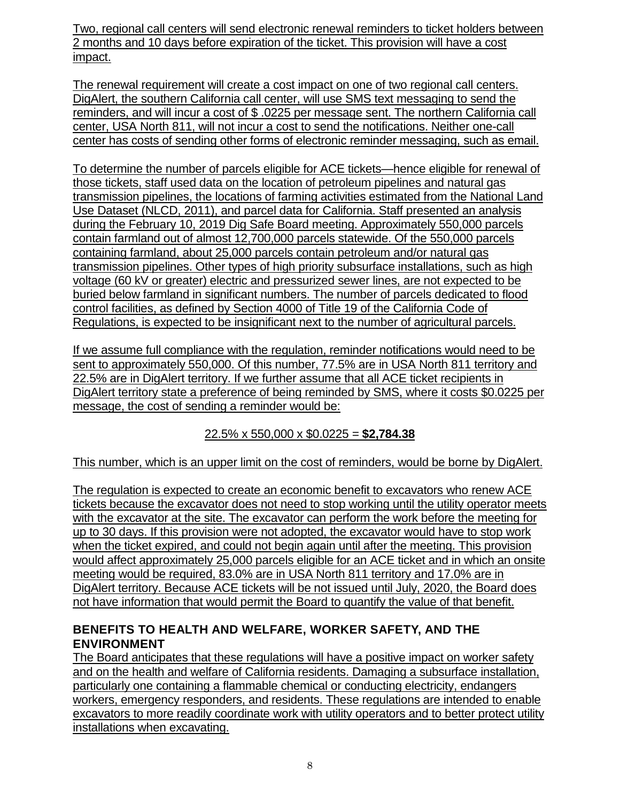Two, regional call centers will send electronic renewal reminders to ticket holders between 2 months and 10 days before expiration of the ticket. This provision will have a cost impact.

The renewal requirement will create a cost impact on one of two regional call centers. DigAlert, the southern California call center, will use SMS text messaging to send the reminders, and will incur a cost of \$ .0225 per message sent. The northern California call center, USA North 811, will not incur a cost to send the notifications. Neither one-call center has costs of sending other forms of electronic reminder messaging, such as email.

To determine the number of parcels eligible for ACE tickets—hence eligible for renewal of those tickets, staff used data on the location of petroleum pipelines and natural gas transmission pipelines, the locations of farming activities estimated from the National Land Use Dataset (NLCD, 2011), and parcel data for California. Staff presented an analysis during the February 10, 2019 Dig Safe Board meeting. Approximately 550,000 parcels contain farmland out of almost 12,700,000 parcels statewide. Of the 550,000 parcels containing farmland, about 25,000 parcels contain petroleum and/or natural gas transmission pipelines. Other types of high priority subsurface installations, such as high voltage (60 kV or greater) electric and pressurized sewer lines, are not expected to be buried below farmland in significant numbers. The number of parcels dedicated to flood control facilities, as defined by Section 4000 of Title 19 of the California Code of Regulations, is expected to be insignificant next to the number of agricultural parcels.

If we assume full compliance with the regulation, reminder notifications would need to be sent to approximately 550,000. Of this number, 77.5% are in USA North 811 territory and 22.5% are in DigAlert territory. If we further assume that all ACE ticket recipients in DigAlert territory state a preference of being reminded by SMS, where it costs \$0.0225 per message, the cost of sending a reminder would be:

## 22.5% x 550,000 x \$0.0225 = **\$2,784.38**

#### This number, which is an upper limit on the cost of reminders, would be borne by DigAlert.

The regulation is expected to create an economic benefit to excavators who renew ACE tickets because the excavator does not need to stop working until the utility operator meets with the excavator at the site. The excavator can perform the work before the meeting for up to 30 days. If this provision were not adopted, the excavator would have to stop work when the ticket expired, and could not begin again until after the meeting. This provision would affect approximately 25,000 parcels eligible for an ACE ticket and in which an onsite meeting would be required, 83.0% are in USA North 811 territory and 17.0% are in DigAlert territory. Because ACE tickets will be not issued until July, 2020, the Board does not have information that would permit the Board to quantify the value of that benefit.

### **BENEFITS TO HEALTH AND WELFARE, WORKER SAFETY, AND THE ENVIRONMENT**

The Board anticipates that these regulations will have a positive impact on worker safety and on the health and welfare of California residents. Damaging a subsurface installation, particularly one containing a flammable chemical or conducting electricity, endangers workers, emergency responders, and residents. These regulations are intended to enable excavators to more readily coordinate work with utility operators and to better protect utility installations when excavating.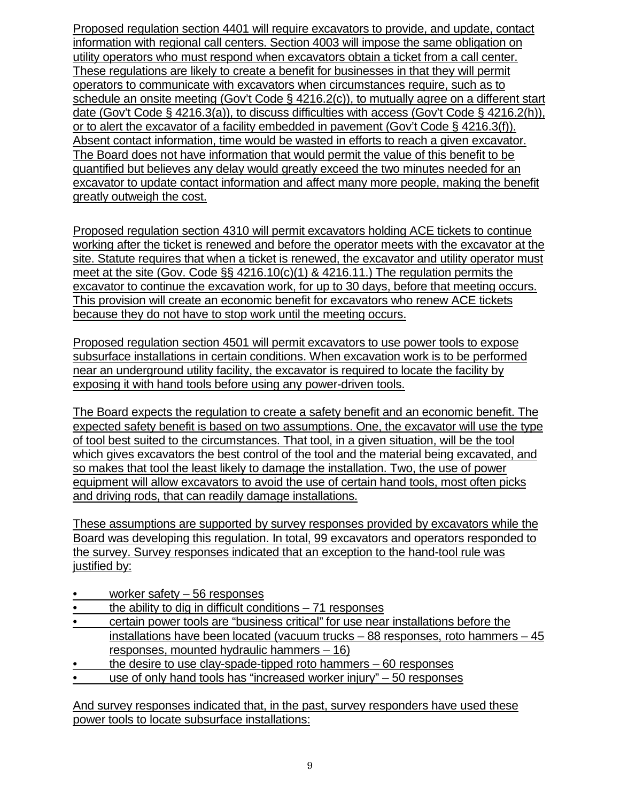Proposed regulation section 4401 will require excavators to provide, and update, contact information with regional call centers. Section 4003 will impose the same obligation on utility operators who must respond when excavators obtain a ticket from a call center. These regulations are likely to create a benefit for businesses in that they will permit operators to communicate with excavators when circumstances require, such as to schedule an onsite meeting (Gov't Code § 4216.2(c)), to mutually agree on a different start date (Gov't Code § 4216.3(a)), to discuss difficulties with access (Gov't Code § 4216.2(h)), or to alert the excavator of a facility embedded in pavement (Gov't Code § 4216.3(f)). Absent contact information, time would be wasted in efforts to reach a given excavator. The Board does not have information that would permit the value of this benefit to be quantified but believes any delay would greatly exceed the two minutes needed for an excavator to update contact information and affect many more people, making the benefit greatly outweigh the cost.

Proposed regulation section 4310 will permit excavators holding ACE tickets to continue working after the ticket is renewed and before the operator meets with the excavator at the site. Statute requires that when a ticket is renewed, the excavator and utility operator must meet at the site (Gov. Code §§ 4216.10(c)(1) & 4216.11.) The regulation permits the excavator to continue the excavation work, for up to 30 days, before that meeting occurs. This provision will create an economic benefit for excavators who renew ACE tickets because they do not have to stop work until the meeting occurs.

Proposed regulation section 4501 will permit excavators to use power tools to expose subsurface installations in certain conditions. When excavation work is to be performed near an underground utility facility, the excavator is required to locate the facility by exposing it with hand tools before using any power-driven tools.

The Board expects the regulation to create a safety benefit and an economic benefit. The expected safety benefit is based on two assumptions. One, the excavator will use the type of tool best suited to the circumstances. That tool, in a given situation, will be the tool which gives excavators the best control of the tool and the material being excavated, and so makes that tool the least likely to damage the installation. Two, the use of power equipment will allow excavators to avoid the use of certain hand tools, most often picks and driving rods, that can readily damage installations.

These assumptions are supported by survey responses provided by excavators while the Board was developing this regulation. In total, 99 excavators and operators responded to the survey. Survey responses indicated that an exception to the hand-tool rule was justified by:

- worker safety 56 responses
- the ability to dig in difficult conditions  $-71$  responses
- certain power tools are "business critical" for use near installations before the installations have been located (vacuum trucks – 88 responses, roto hammers – 45 responses, mounted hydraulic hammers – 16)
- the desire to use clay-spade-tipped roto hammers  $-60$  responses
- use of only hand tools has "increased worker injury" 50 responses

And survey responses indicated that, in the past, survey responders have used these power tools to locate subsurface installations: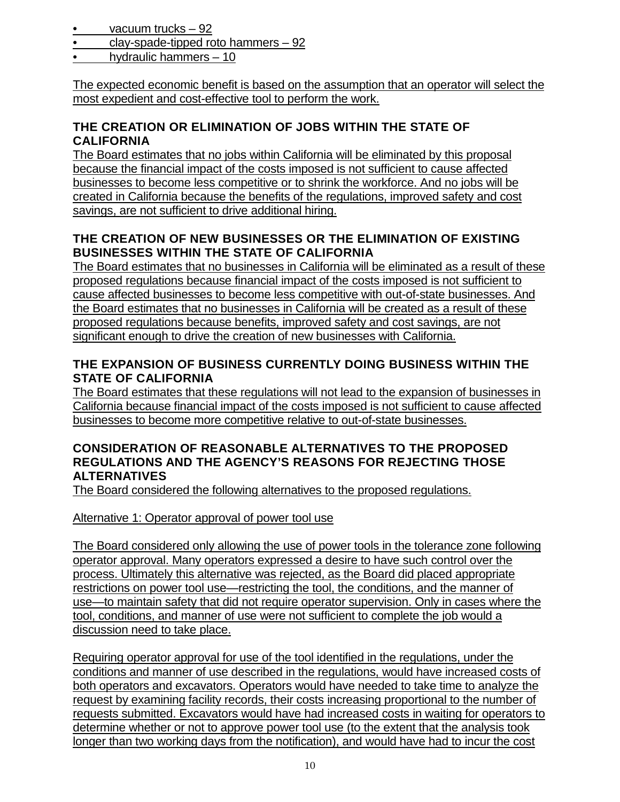- vacuum trucks 92
- clay-spade-tipped roto hammers 92
- hydraulic hammers 10

The expected economic benefit is based on the assumption that an operator will select the most expedient and cost-effective tool to perform the work.

## **THE CREATION OR ELIMINATION OF JOBS WITHIN THE STATE OF CALIFORNIA**

The Board estimates that no jobs within California will be eliminated by this proposal because the financial impact of the costs imposed is not sufficient to cause affected businesses to become less competitive or to shrink the workforce. And no jobs will be created in California because the benefits of the regulations, improved safety and cost savings, are not sufficient to drive additional hiring.

## **THE CREATION OF NEW BUSINESSES OR THE ELIMINATION OF EXISTING BUSINESSES WITHIN THE STATE OF CALIFORNIA**

The Board estimates that no businesses in California will be eliminated as a result of these proposed regulations because financial impact of the costs imposed is not sufficient to cause affected businesses to become less competitive with out-of-state businesses. And the Board estimates that no businesses in California will be created as a result of these proposed regulations because benefits, improved safety and cost savings, are not significant enough to drive the creation of new businesses with California.

## **THE EXPANSION OF BUSINESS CURRENTLY DOING BUSINESS WITHIN THE STATE OF CALIFORNIA**

The Board estimates that these regulations will not lead to the expansion of businesses in California because financial impact of the costs imposed is not sufficient to cause affected businesses to become more competitive relative to out-of-state businesses.

### **CONSIDERATION OF REASONABLE ALTERNATIVES TO THE PROPOSED REGULATIONS AND THE AGENCY'S REASONS FOR REJECTING THOSE ALTERNATIVES**

The Board considered the following alternatives to the proposed regulations.

### Alternative 1: Operator approval of power tool use

The Board considered only allowing the use of power tools in the tolerance zone following operator approval. Many operators expressed a desire to have such control over the process. Ultimately this alternative was rejected, as the Board did placed appropriate restrictions on power tool use—restricting the tool, the conditions, and the manner of use—to maintain safety that did not require operator supervision. Only in cases where the tool, conditions, and manner of use were not sufficient to complete the job would a discussion need to take place.

Requiring operator approval for use of the tool identified in the regulations, under the conditions and manner of use described in the regulations, would have increased costs of both operators and excavators. Operators would have needed to take time to analyze the request by examining facility records, their costs increasing proportional to the number of requests submitted. Excavators would have had increased costs in waiting for operators to determine whether or not to approve power tool use (to the extent that the analysis took longer than two working days from the notification), and would have had to incur the cost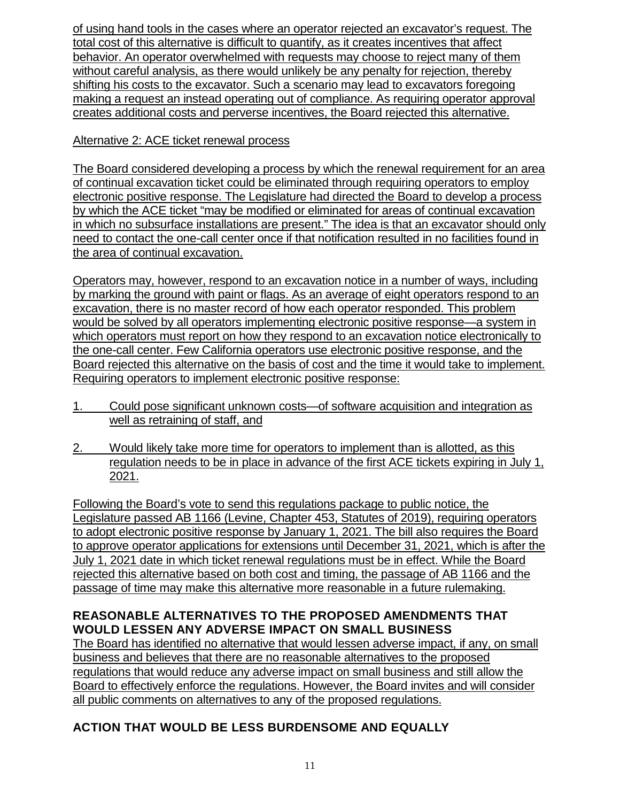of using hand tools in the cases where an operator rejected an excavator's request. The total cost of this alternative is difficult to quantify, as it creates incentives that affect behavior. An operator overwhelmed with requests may choose to reject many of them without careful analysis, as there would unlikely be any penalty for rejection, thereby shifting his costs to the excavator. Such a scenario may lead to excavators foregoing making a request an instead operating out of compliance. As requiring operator approval creates additional costs and perverse incentives, the Board rejected this alternative.

## Alternative 2: ACE ticket renewal process

The Board considered developing a process by which the renewal requirement for an area of continual excavation ticket could be eliminated through requiring operators to employ electronic positive response. The Legislature had directed the Board to develop a process by which the ACE ticket "may be modified or eliminated for areas of continual excavation in which no subsurface installations are present." The idea is that an excavator should only need to contact the one-call center once if that notification resulted in no facilities found in the area of continual excavation.

Operators may, however, respond to an excavation notice in a number of ways, including by marking the ground with paint or flags. As an average of eight operators respond to an excavation, there is no master record of how each operator responded. This problem would be solved by all operators implementing electronic positive response—a system in which operators must report on how they respond to an excavation notice electronically to the one-call center. Few California operators use electronic positive response, and the Board rejected this alternative on the basis of cost and the time it would take to implement. Requiring operators to implement electronic positive response:

- 1. Could pose significant unknown costs—of software acquisition and integration as well as retraining of staff, and
- 2. Would likely take more time for operators to implement than is allotted, as this regulation needs to be in place in advance of the first ACE tickets expiring in July 1, 2021.

Following the Board's vote to send this regulations package to public notice, the Legislature passed AB 1166 (Levine, Chapter 453, Statutes of 2019), requiring operators to adopt electronic positive response by January 1, 2021. The bill also requires the Board to approve operator applications for extensions until December 31, 2021, which is after the July 1, 2021 date in which ticket renewal regulations must be in effect. While the Board rejected this alternative based on both cost and timing, the passage of AB 1166 and the passage of time may make this alternative more reasonable in a future rulemaking.

## **REASONABLE ALTERNATIVES TO THE PROPOSED AMENDMENTS THAT WOULD LESSEN ANY ADVERSE IMPACT ON SMALL BUSINESS**

The Board has identified no alternative that would lessen adverse impact, if any, on small business and believes that there are no reasonable alternatives to the proposed regulations that would reduce any adverse impact on small business and still allow the Board to effectively enforce the regulations. However, the Board invites and will consider all public comments on alternatives to any of the proposed regulations.

# **ACTION THAT WOULD BE LESS BURDENSOME AND EQUALLY**